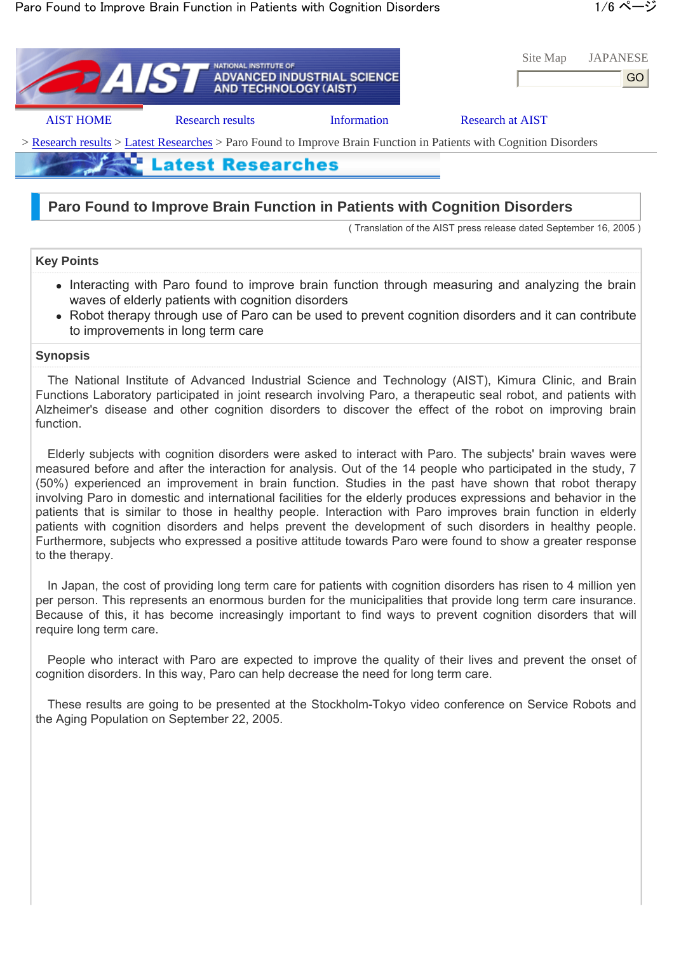|                                                                                                                    | <b>NATIONAL INSTITUTE OF</b><br><b>ATAT</b> | ADVANCED INDUSTRIAL SCIENCE<br>AND TECHNOLOGY (AIST) | Site Map                | <b>JAPANESE</b><br>GO |
|--------------------------------------------------------------------------------------------------------------------|---------------------------------------------|------------------------------------------------------|-------------------------|-----------------------|
| <b>AIST HOME</b>                                                                                                   | <b>Research results</b>                     | Information                                          | <b>Research at AIST</b> |                       |
| > Research results > Latest Researches > Paro Found to Improve Brain Function in Patients with Cognition Disorders |                                             |                                                      |                         |                       |
|                                                                                                                    | <b>Latest Researches</b>                    |                                                      |                         |                       |
|                                                                                                                    |                                             |                                                      |                         |                       |

# **Paro Found to Improve Brain Function in Patients with Cognition Disorders**

( Translation of the AIST press release dated September 16, 2005 )

# **Key Points**

- Interacting with Paro found to improve brain function through measuring and analyzing the brain waves of elderly patients with cognition disorders
- Robot therapy through use of Paro can be used to prevent cognition disorders and it can contribute to improvements in long term care

# **Synopsis**

The National Institute of Advanced Industrial Science and Technology (AIST), Kimura Clinic, and Brain Functions Laboratory participated in joint research involving Paro, a therapeutic seal robot, and patients with Alzheimer's disease and other cognition disorders to discover the effect of the robot on improving brain function.

Elderly subjects with cognition disorders were asked to interact with Paro. The subjects' brain waves were measured before and after the interaction for analysis. Out of the 14 people who participated in the study, 7 (50%) experienced an improvement in brain function. Studies in the past have shown that robot therapy involving Paro in domestic and international facilities for the elderly produces expressions and behavior in the patients that is similar to those in healthy people. Interaction with Paro improves brain function in elderly patients with cognition disorders and helps prevent the development of such disorders in healthy people. Furthermore, subjects who expressed a positive attitude towards Paro were found to show a greater response to the therapy.

In Japan, the cost of providing long term care for patients with cognition disorders has risen to 4 million yen per person. This represents an enormous burden for the municipalities that provide long term care insurance. Because of this, it has become increasingly important to find ways to prevent cognition disorders that will require long term care.

People who interact with Paro are expected to improve the quality of their lives and prevent the onset of cognition disorders. In this way, Paro can help decrease the need for long term care.

These results are going to be presented at the Stockholm-Tokyo video conference on Service Robots and the Aging Population on September 22, 2005.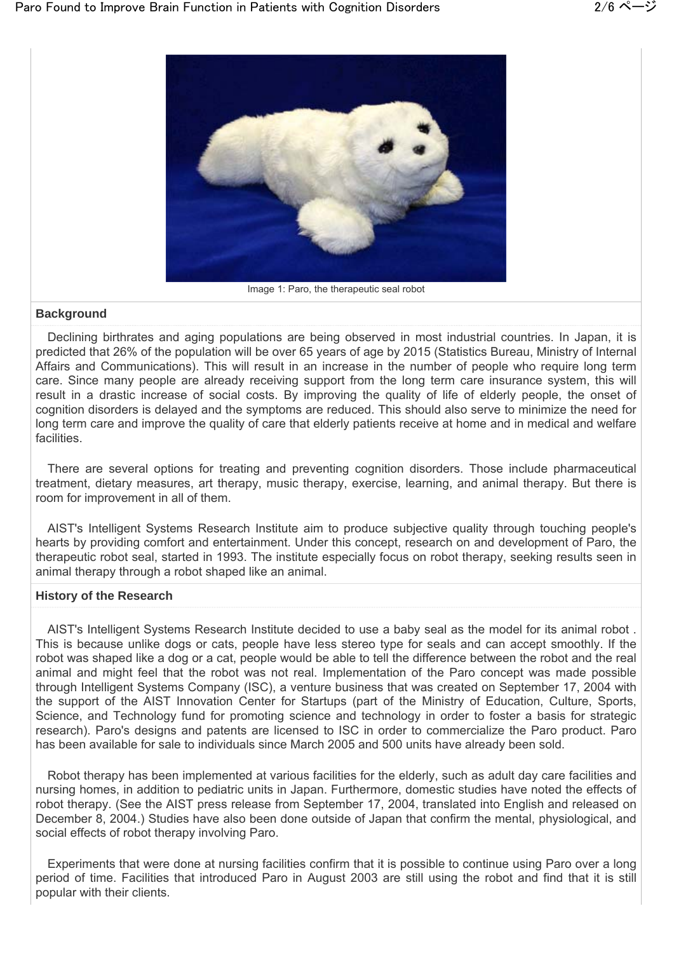

#### Image 1: Paro, the therapeutic seal robot

#### **Background**

Declining birthrates and aging populations are being observed in most industrial countries. In Japan, it is predicted that 26% of the population will be over 65 years of age by 2015 (Statistics Bureau, Ministry of Internal Affairs and Communications). This will result in an increase in the number of people who require long term care. Since many people are already receiving support from the long term care insurance system, this will result in a drastic increase of social costs. By improving the quality of life of elderly people, the onset of cognition disorders is delayed and the symptoms are reduced. This should also serve to minimize the need for long term care and improve the quality of care that elderly patients receive at home and in medical and welfare facilities.

There are several options for treating and preventing cognition disorders. Those include pharmaceutical treatment, dietary measures, art therapy, music therapy, exercise, learning, and animal therapy. But there is room for improvement in all of them.

AIST's Intelligent Systems Research Institute aim to produce subjective quality through touching people's hearts by providing comfort and entertainment. Under this concept, research on and development of Paro, the therapeutic robot seal, started in 1993. The institute especially focus on robot therapy, seeking results seen in animal therapy through a robot shaped like an animal.

## **History of the Research**

AIST's Intelligent Systems Research Institute decided to use a baby seal as the model for its animal robot . This is because unlike dogs or cats, people have less stereo type for seals and can accept smoothly. If the robot was shaped like a dog or a cat, people would be able to tell the difference between the robot and the real animal and might feel that the robot was not real. Implementation of the Paro concept was made possible through Intelligent Systems Company (ISC), a venture business that was created on September 17, 2004 with the support of the AIST Innovation Center for Startups (part of the Ministry of Education, Culture, Sports, Science, and Technology fund for promoting science and technology in order to foster a basis for strategic research). Paro's designs and patents are licensed to ISC in order to commercialize the Paro product. Paro has been available for sale to individuals since March 2005 and 500 units have already been sold.

Robot therapy has been implemented at various facilities for the elderly, such as adult day care facilities and nursing homes, in addition to pediatric units in Japan. Furthermore, domestic studies have noted the effects of robot therapy. (See the AIST press release from September 17, 2004, translated into English and released on December 8, 2004.) Studies have also been done outside of Japan that confirm the mental, physiological, and social effects of robot therapy involving Paro.

Experiments that were done at nursing facilities confirm that it is possible to continue using Paro over a long period of time. Facilities that introduced Paro in August 2003 are still using the robot and find that it is still popular with their clients.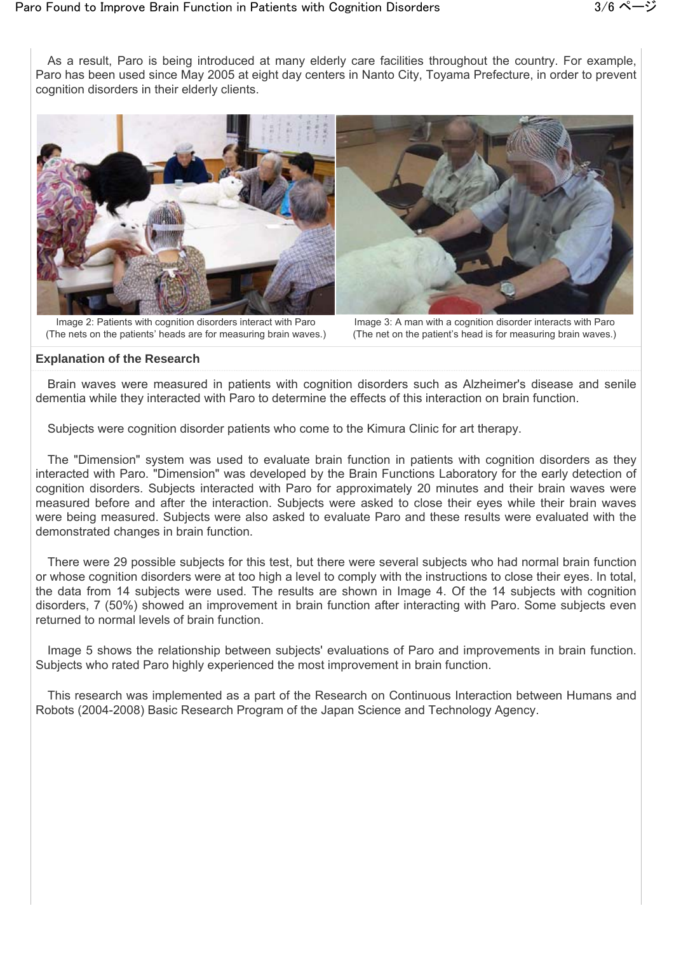

Image 2: Patients with cognition disorders interact with Paro (The nets on the patients' heads are for measuring brain waves.)

Image 3: A man with a cognition disorder interacts with Paro (The net on the patient's head is for measuring brain waves.)

### **Explanation of the Research**

Brain waves were measured in patients with cognition disorders such as Alzheimer's disease and senile dementia while they interacted with Paro to determine the effects of this interaction on brain function.

Subjects were cognition disorder patients who come to the Kimura Clinic for art therapy.

The "Dimension" system was used to evaluate brain function in patients with cognition disorders as they interacted with Paro. "Dimension" was developed by the Brain Functions Laboratory for the early detection of cognition disorders. Subjects interacted with Paro for approximately 20 minutes and their brain waves were measured before and after the interaction. Subjects were asked to close their eyes while their brain waves were being measured. Subjects were also asked to evaluate Paro and these results were evaluated with the demonstrated changes in brain function.

There were 29 possible subjects for this test, but there were several subjects who had normal brain function or whose cognition disorders were at too high a level to comply with the instructions to close their eyes. In total, the data from 14 subjects were used. The results are shown in Image 4. Of the 14 subjects with cognition disorders, 7 (50%) showed an improvement in brain function after interacting with Paro. Some subjects even returned to normal levels of brain function.

Image 5 shows the relationship between subjects' evaluations of Paro and improvements in brain function. Subjects who rated Paro highly experienced the most improvement in brain function.

This research was implemented as a part of the Research on Continuous Interaction between Humans and Robots (2004-2008) Basic Research Program of the Japan Science and Technology Agency.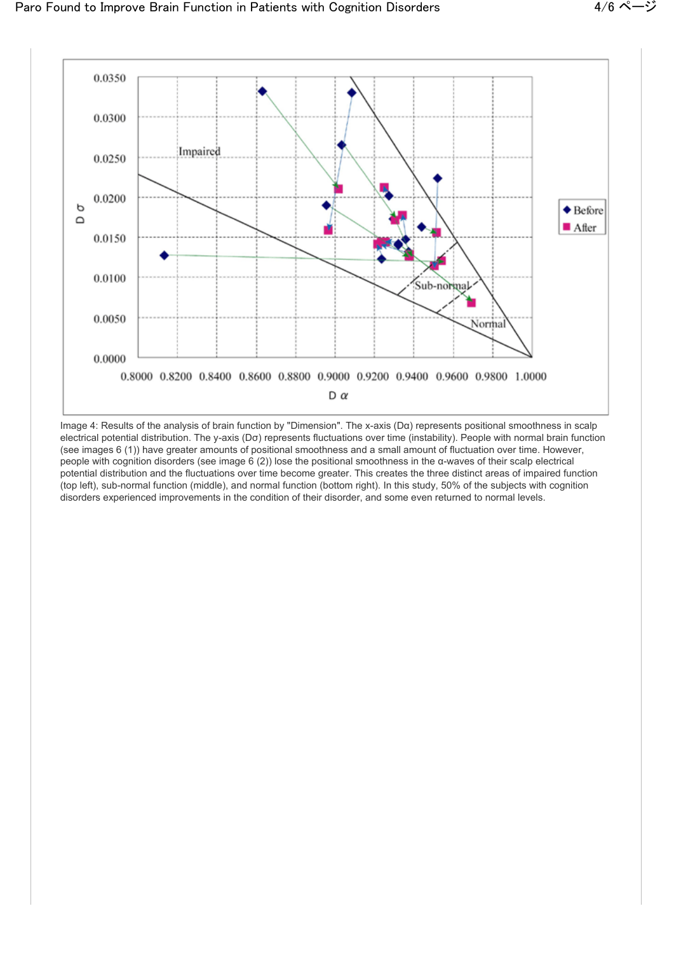

Image 4: Results of the analysis of brain function by "Dimension". The x-axis (Dα) represents positional smoothness in scalp electrical potential distribution. The y-axis (Dσ) represents fluctuations over time (instability). People with normal brain function (see images 6 (1)) have greater amounts of positional smoothness and a small amount of fluctuation over time. However, people with cognition disorders (see image 6 (2)) lose the positional smoothness in the α-waves of their scalp electrical potential distribution and the fluctuations over time become greater. This creates the three distinct areas of impaired function (top left), sub-normal function (middle), and normal function (bottom right). In this study, 50% of the subjects with cognition disorders experienced improvements in the condition of their disorder, and some even returned to normal levels.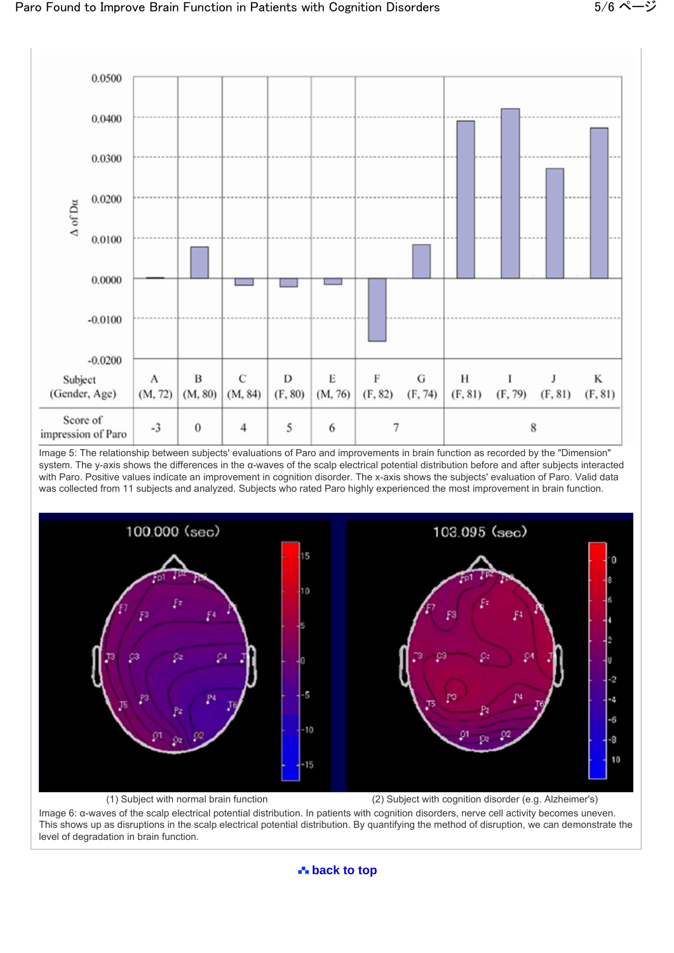

Image 5: The relationship between subjects' evaluations of Paro and improvements in brain function as recorded by the "Dimension" system. The y-axis shows the differences in the α-waves of the scalp electrical potential distribution before and after subjects interacted with Paro. Positive values indicate an improvement in cognition disorder. The x-axis shows the subjects' evaluation of Paro. Valid data was collected from 11 subjects and analyzed. Subjects who rated Paro highly experienced the most improvement in brain function.



(1) Subject with normal brain function (2) Subject with cognition disorder (e.g. Alzheimer's)

Image 6: α-waves of the scalp electrical potential distribution. In patients with cognition disorders, nerve cell activity becomes uneven. This shows up as disruptions in the scalp electrical potential distribution. By quantifying the method of disruption, we can demonstrate the level of degradation in brain function.

**back to top**